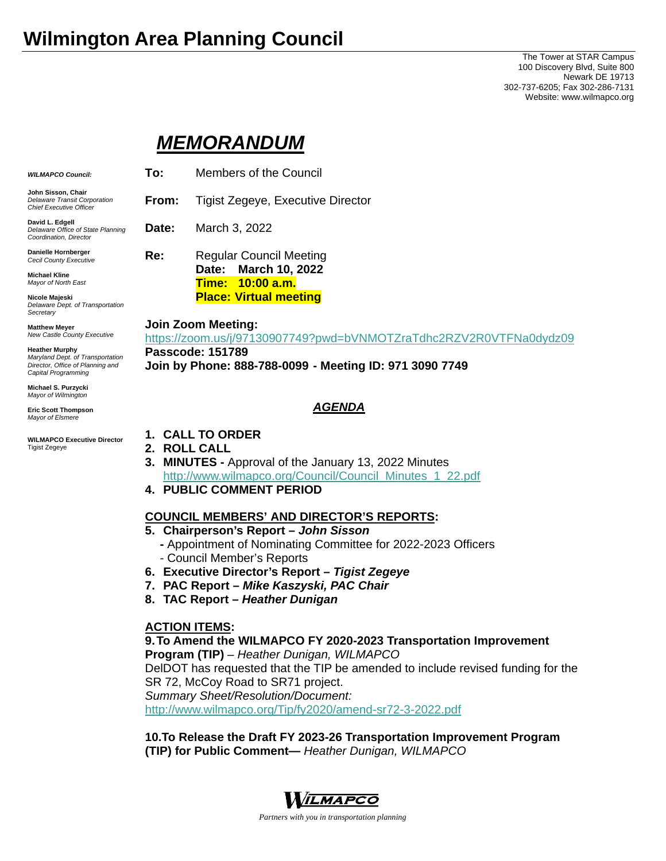# **Wilmington Area Planning Council**

The Tower at STAR Campus 100 Discovery Blvd, Suite 800 Newark DE 19713 302-737-6205; Fax 302-286-7131 Website: www.wilmapco.org

## *MEMORANDUM*

| <b>WILMAPCO Council:</b>                                                                                             | To:                                                                                                                                                                            | Members of the Council                                    |
|----------------------------------------------------------------------------------------------------------------------|--------------------------------------------------------------------------------------------------------------------------------------------------------------------------------|-----------------------------------------------------------|
| John Sisson, Chair<br><b>Delaware Transit Corporation</b><br><b>Chief Executive Officer</b>                          | From:                                                                                                                                                                          | Tigist Zegeye, Executive Director                         |
| David L. Edgell<br>Delaware Office of State Planning<br>Coordination, Director                                       | Date:                                                                                                                                                                          | March 3, 2022                                             |
| Danielle Hornberger<br>Cecil County Executive                                                                        | Re:                                                                                                                                                                            | <b>Regular Council Meeting</b>                            |
| <b>Michael Kline</b><br>Mayor of North East                                                                          |                                                                                                                                                                                | <b>March 10, 2022</b><br>Date:<br><b>Time: 10:00 a.m.</b> |
| Nicole Majeski<br>Delaware Dept. of Transportation<br>Secretary                                                      |                                                                                                                                                                                | <b>Place: Virtual meeting</b>                             |
| <b>Matthew Meyer</b><br>New Castle County Executive                                                                  | <b>Join Zoom Meeting:</b><br>https://zoom.us/j/97130907749?pwd=bVNMOTZraTdhc2RZV2R0VTFNa0dydz09<br>Passcode: 151789<br>Join by Phone: 888-788-0099 - Meeting ID: 971 3090 7749 |                                                           |
| <b>Heather Murphy</b><br>Maryland Dept. of Transportation<br>Director, Office of Planning and<br>Capital Programming |                                                                                                                                                                                |                                                           |
| Michael S. Purzycki<br>Mayor of Wilmington                                                                           |                                                                                                                                                                                |                                                           |
| <b>Eric Scott Thompson</b><br>Mayor of Elsmere                                                                       | <b>AGENDA</b>                                                                                                                                                                  |                                                           |
| <b>WILMAPCO Executive Director</b>                                                                                   | 1.                                                                                                                                                                             | <b>CALL TO ORDER</b>                                      |

**WILMAPCO Executive Director**  Tigist Zegeye

- **2. ROLL CALL**
- **3. MINUTES** Approval of the January 13, 2022 Minutes http://www.wilmapco.org/Council/Council\_Minutes\_1\_22.pdf
- **4. PUBLIC COMMENT PERIOD**

#### **COUNCIL MEMBERS' AND DIRECTOR'S REPORTS:**

- **5. Chairperson's Report** *John Sisson*
	- Appointment of Nominating Committee for 2022-2023 Officers - Council Member's Reports
- **6. Executive Director's Report** *Tigist Zegeye*
- **7. PAC Report** *Mike Kaszyski, PAC Chair*
- **8. TAC Report** *Heather Dunigan*

#### **ACTION ITEMS:**

**9. To Amend the WILMAPCO FY 2020-2023 Transportation Improvement Program (TIP)** – *Heather Dunigan, WILMAPCO* DelDOT has requested that the TIP be amended to include revised funding for the SR 72, McCoy Road to SR71 project. *Summary Sheet/Resolution/Document:* http://www.wilmapco.org/Tip/fy2020/amend-sr72-3-2022.pdf

**10.To Release the Draft FY 2023-26 Transportation Improvement Program (TIP) for Public Comment—** *Heather Dunigan, WILMAPCO*



*Partners with you in transportation planning*